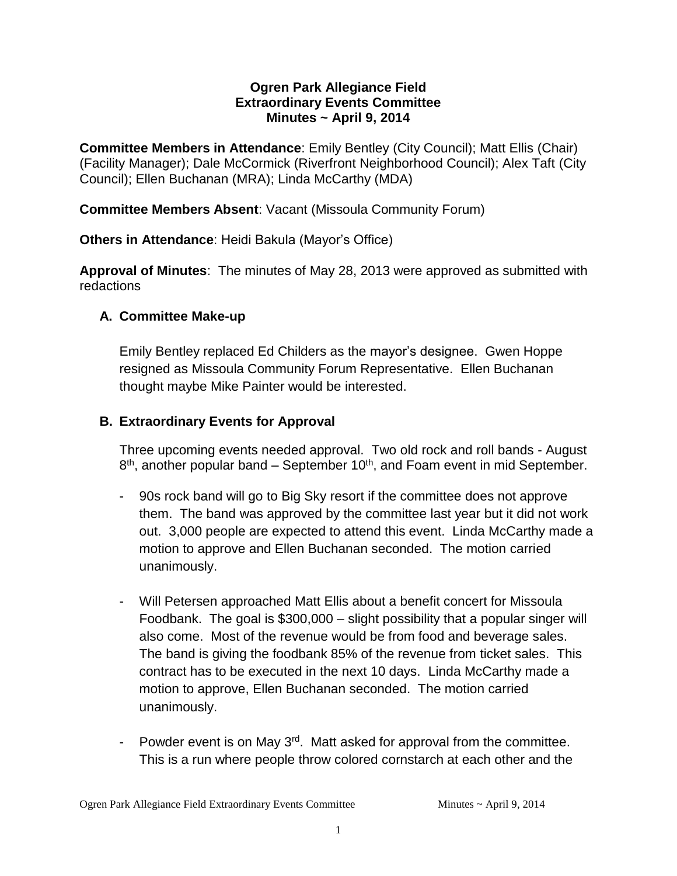### **Ogren Park Allegiance Field Extraordinary Events Committee Minutes ~ April 9, 2014**

**Committee Members in Attendance**: Emily Bentley (City Council); Matt Ellis (Chair) (Facility Manager); Dale McCormick (Riverfront Neighborhood Council); Alex Taft (City Council); Ellen Buchanan (MRA); Linda McCarthy (MDA)

**Committee Members Absent**: Vacant (Missoula Community Forum)

**Others in Attendance**: Heidi Bakula (Mayor's Office)

**Approval of Minutes**: The minutes of May 28, 2013 were approved as submitted with redactions

## **A. Committee Make-up**

Emily Bentley replaced Ed Childers as the mayor's designee. Gwen Hoppe resigned as Missoula Community Forum Representative. Ellen Buchanan thought maybe Mike Painter would be interested.

## **B. Extraordinary Events for Approval**

Three upcoming events needed approval. Two old rock and roll bands - August 8<sup>th</sup>, another popular band – September 10<sup>th</sup>, and Foam event in mid September.

- 90s rock band will go to Big Sky resort if the committee does not approve them. The band was approved by the committee last year but it did not work out. 3,000 people are expected to attend this event. Linda McCarthy made a motion to approve and Ellen Buchanan seconded. The motion carried unanimously.
- Will Petersen approached Matt Ellis about a benefit concert for Missoula Foodbank. The goal is \$300,000 – slight possibility that a popular singer will also come. Most of the revenue would be from food and beverage sales. The band is giving the foodbank 85% of the revenue from ticket sales. This contract has to be executed in the next 10 days. Linda McCarthy made a motion to approve, Ellen Buchanan seconded. The motion carried unanimously.
- Powder event is on May  $3<sup>rd</sup>$ . Matt asked for approval from the committee. This is a run where people throw colored cornstarch at each other and the